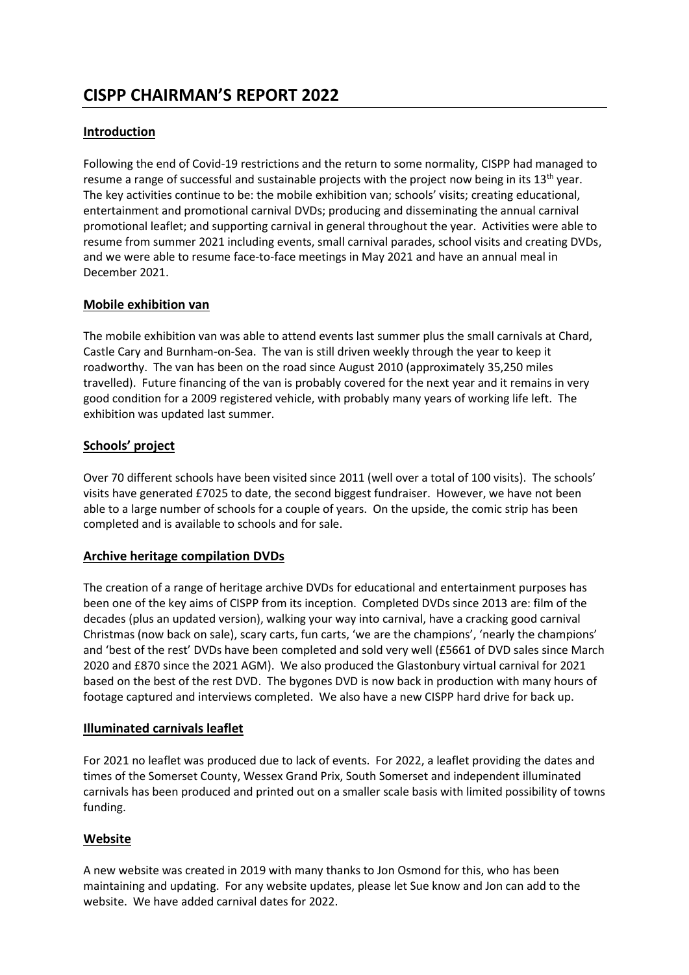# **CISPP CHAIRMAN'S REPORT 2022**

# **Introduction**

Following the end of Covid-19 restrictions and the return to some normality, CISPP had managed to resume a range of successful and sustainable projects with the project now being in its  $13<sup>th</sup>$  year. The key activities continue to be: the mobile exhibition van; schools' visits; creating educational, entertainment and promotional carnival DVDs; producing and disseminating the annual carnival promotional leaflet; and supporting carnival in general throughout the year. Activities were able to resume from summer 2021 including events, small carnival parades, school visits and creating DVDs, and we were able to resume face-to-face meetings in May 2021 and have an annual meal in December 2021.

### **Mobile exhibition van**

The mobile exhibition van was able to attend events last summer plus the small carnivals at Chard, Castle Cary and Burnham-on-Sea. The van is still driven weekly through the year to keep it roadworthy. The van has been on the road since August 2010 (approximately 35,250 miles travelled). Future financing of the van is probably covered for the next year and it remains in very good condition for a 2009 registered vehicle, with probably many years of working life left. The exhibition was updated last summer.

### **Schools' project**

Over 70 different schools have been visited since 2011 (well over a total of 100 visits). The schools' visits have generated £7025 to date, the second biggest fundraiser. However, we have not been able to a large number of schools for a couple of years. On the upside, the comic strip has been completed and is available to schools and for sale.

### **Archive heritage compilation DVDs**

The creation of a range of heritage archive DVDs for educational and entertainment purposes has been one of the key aims of CISPP from its inception. Completed DVDs since 2013 are: film of the decades (plus an updated version), walking your way into carnival, have a cracking good carnival Christmas (now back on sale), scary carts, fun carts, 'we are the champions', 'nearly the champions' and 'best of the rest' DVDs have been completed and sold very well (£5661 of DVD sales since March 2020 and £870 since the 2021 AGM). We also produced the Glastonbury virtual carnival for 2021 based on the best of the rest DVD. The bygones DVD is now back in production with many hours of footage captured and interviews completed. We also have a new CISPP hard drive for back up.

#### **Illuminated carnivals leaflet**

For 2021 no leaflet was produced due to lack of events. For 2022, a leaflet providing the dates and times of the Somerset County, Wessex Grand Prix, South Somerset and independent illuminated carnivals has been produced and printed out on a smaller scale basis with limited possibility of towns funding.

### **Website**

A new website was created in 2019 with many thanks to Jon Osmond for this, who has been maintaining and updating. For any website updates, please let Sue know and Jon can add to the website. We have added carnival dates for 2022.